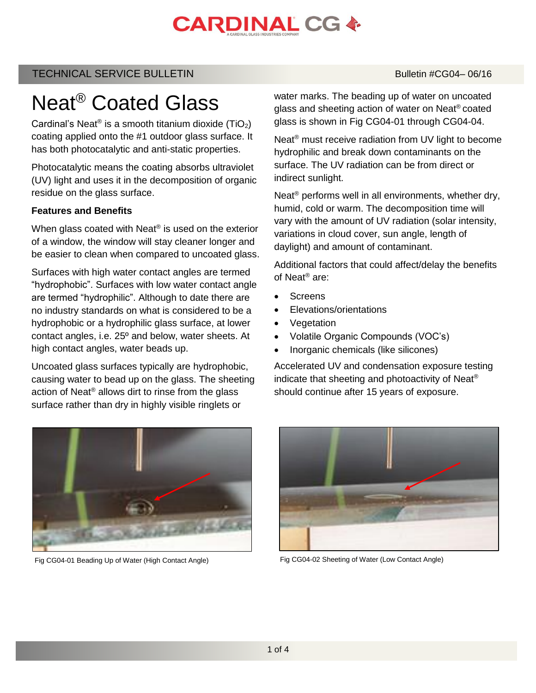# **CARDINAL CG &**

# TECHNICAL SERVICE BULLETIN Bulletin #CG04– 06/16

# Neat® Coated Glass

Cardinal's Neat® is a smooth titanium dioxide (TiO<sub>2</sub>) coating applied onto the #1 outdoor glass surface. It has both photocatalytic and anti-static properties.

Photocatalytic means the coating absorbs ultraviolet (UV) light and uses it in the decomposition of organic residue on the glass surface.

### **Features and Benefits**

When glass coated with Neat® is used on the exterior of a window, the window will stay cleaner longer and be easier to clean when compared to uncoated glass.

Surfaces with high water contact angles are termed "hydrophobic". Surfaces with low water contact angle are termed "hydrophilic". Although to date there are no industry standards on what is considered to be a hydrophobic or a hydrophilic glass surface, at lower contact angles, i.e. 25º and below, water sheets. At high contact angles, water beads up.

Uncoated glass surfaces typically are hydrophobic, causing water to bead up on the glass. The sheeting action of Neat® allows dirt to rinse from the glass surface rather than dry in highly visible ringlets or

water marks. The beading up of water on uncoated glass and sheeting action of water on Neat® coated glass is shown in Fig CG04-01 through CG04-04.

Neat® must receive radiation from UV light to become hydrophilic and break down contaminants on the surface. The UV radiation can be from direct or indirect sunlight.

Neat<sup>®</sup> performs well in all environments, whether dry, humid, cold or warm. The decomposition time will vary with the amount of UV radiation (solar intensity, variations in cloud cover, sun angle, length of daylight) and amount of contaminant.

Additional factors that could affect/delay the benefits of Neat® are:

- **Screens**
- Elevations/orientations
- Vegetation
- Volatile Organic Compounds (VOC's)
- Inorganic chemicals (like silicones)

Accelerated UV and condensation exposure testing indicate that sheeting and photoactivity of Neat® should continue after 15 years of exposure.





Fig CG04-01 Beading Up of Water (High Contact Angle) Fig CG04-02 Sheeting of Water (Low Contact Angle)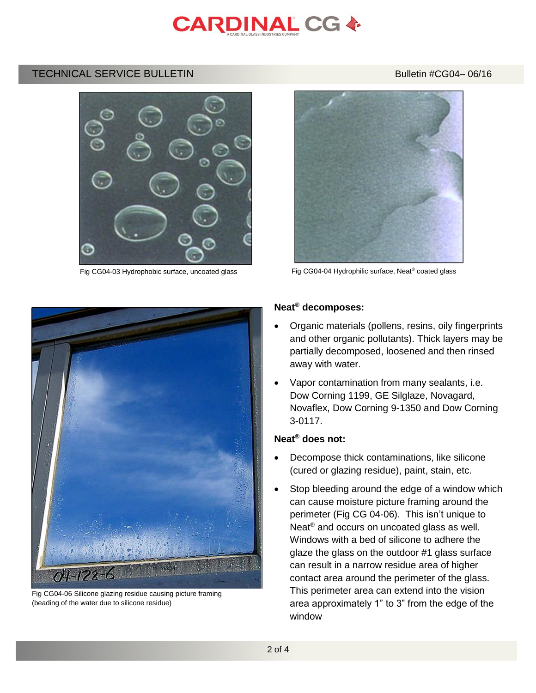

### TECHNICAL SERVICE BULLETIN BULLETIN Bulletin #CG04-06/16





Fig CG04-06 Silicone glazing residue causing picture framing (beading of the water due to silicone residue)



Fig CG04-03 Hydrophobic surface, uncoated glass Fig CG04-04 Hydrophilic surface, Neat<sup>®</sup> coated glass

#### **Neat® decomposes:**

- Organic materials (pollens, resins, oily fingerprints and other organic pollutants). Thick layers may be partially decomposed, loosened and then rinsed away with water.
- Vapor contamination from many sealants, i.e. Dow Corning 1199, GE Silglaze, Novagard, Novaflex, Dow Corning 9-1350 and Dow Corning 3-0117.

### **Neat® does not:**

- Decompose thick contaminations, like silicone (cured or glazing residue), paint, stain, etc.
- Stop bleeding around the edge of a window which can cause moisture picture framing around the perimeter (Fig CG 04-06). This isn't unique to Neat<sup>®</sup> and occurs on uncoated glass as well. Windows with a bed of silicone to adhere the glaze the glass on the outdoor #1 glass surface can result in a narrow residue area of higher contact area around the perimeter of the glass. This perimeter area can extend into the vision area approximately 1" to 3" from the edge of the window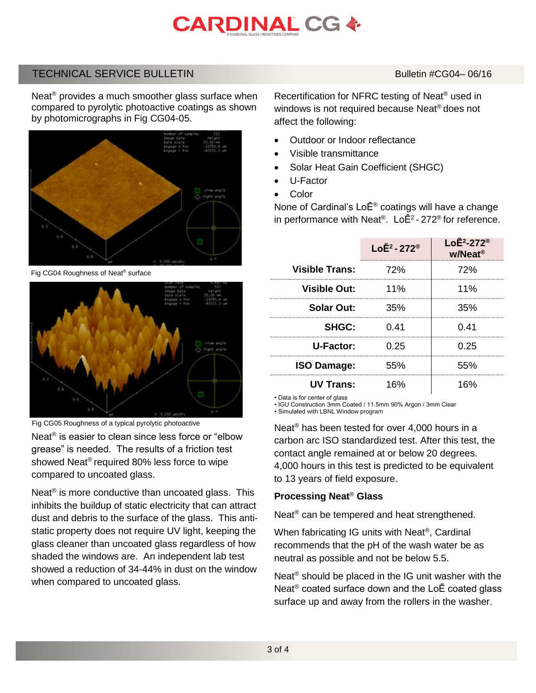# **CARDINAL CG &**

## TECHNICAL SERVICE BULLETIN BULLETIN Bulletin #CG04-06/16

Neat<sup>®</sup> provides a much smoother glass surface when compared to pyrolytic photoactive coatings as shown by photomicrographs in Fig CG04-05.



Fig CG04 Roughness of Neat® surface



Fig CG05 Roughness of a typical pyrolytic photoactive

Neat<sup>®</sup> is easier to clean since less force or "elbow grease" is needed. The results of a friction test showed Neat® required 80% less force to wipe compared to uncoated glass.

Neat<sup>®</sup> is more conductive than uncoated glass. This inhibits the buildup of static electricity that can attract dust and debris to the surface of the glass. This antistatic property does not require UV light, keeping the glass cleaner than uncoated glass regardless of how shaded the windows are. An independent lab test showed a reduction of 34-44% in dust on the window when compared to uncoated glass.

Recertification for NFRC testing of Neat® used in windows is not required because Neat® does not affect the following:

- Outdoor or Indoor reflectance
- Visible transmittance
- Solar Heat Gain Coefficient (SHGC)
- U-Factor
- **Color**

None of Cardinal's LoĒ® coatings will have a change in performance with Neat®. Lo $\bar{E}^2$ -272® for reference.

|                       | Lo $\bar{E}^2$ - 272 <sup>®</sup> | $LoE2-272®$<br>w/Neat <sup>®</sup> |
|-----------------------|-----------------------------------|------------------------------------|
| <b>Visible Trans:</b> | 72%                               | 72%                                |
| <b>Visible Out:</b>   | 11%                               | 11%                                |
| <b>Solar Out:</b>     | 35%                               | 35%                                |
| SHGC:                 | 0.41                              | 0.41                               |
| U-Factor:             | በ 25                              | በ 25                               |
| <b>ISO Damage:</b>    | 55%                               | 55%                                |
| <b>UV Trans:</b>      | 16%                               | 16%                                |

• Data is for center of glass

• IGU Construction 3mm Coated / 11.5mm 90% Argon / 3mm Clear

• Simulated with LBNL Window program

Neat ® has been tested for over 4,000 hours in a carbon arc ISO standardized test. After this test, the contact angle remained at or below 20 degrees. 4,000 hours in this test is predicted to be equivalent to 13 years of field exposure.

## **Processing Neat**® **Glass**

Neat<sup>®</sup> can be tempered and heat strengthened.

When fabricating IG units with Neat®, Cardinal recommends that the pH of the wash water be as neutral as possible and not be below 5.5.

Neat® should be placed in the IG unit washer with the Neat® coated surface down and the LoĒ coated glass surface up and away from the rollers in the washer.